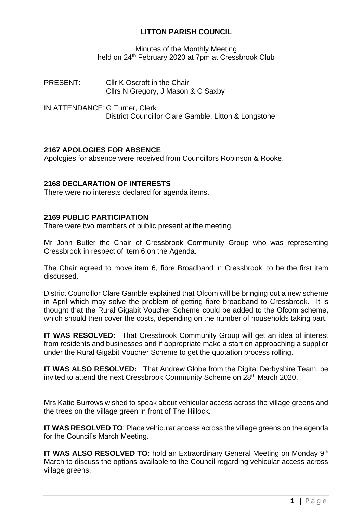# **LITTON PARISH COUNCIL**

Minutes of the Monthly Meeting held on 24<sup>th</sup> February 2020 at 7pm at Cressbrook Club

PRESENT: Cllr K Oscroft in the Chair Cllrs N Gregory, J Mason & C Saxby

IN ATTENDANCE: G Turner, Clerk District Councillor Clare Gamble, Litton & Longstone

# **2167 APOLOGIES FOR ABSENCE**

Apologies for absence were received from Councillors Robinson & Rooke.

# **2168 DECLARATION OF INTERESTS**

There were no interests declared for agenda items.

## **2169 PUBLIC PARTICIPATION**

There were two members of public present at the meeting.

Mr John Butler the Chair of Cressbrook Community Group who was representing Cressbrook in respect of item 6 on the Agenda.

The Chair agreed to move item 6, fibre Broadband in Cressbrook, to be the first item discussed.

District Councillor Clare Gamble explained that Ofcom will be bringing out a new scheme in April which may solve the problem of getting fibre broadband to Cressbrook. It is thought that the Rural Gigabit Voucher Scheme could be added to the Ofcom scheme, which should then cover the costs, depending on the number of households taking part.

**IT WAS RESOLVED:** That Cressbrook Community Group will get an idea of interest from residents and businesses and if appropriate make a start on approaching a supplier under the Rural Gigabit Voucher Scheme to get the quotation process rolling.

**IT WAS ALSO RESOLVED:** That Andrew Globe from the Digital Derbyshire Team, be invited to attend the next Cressbrook Community Scheme on 28<sup>th</sup> March 2020.

Mrs Katie Burrows wished to speak about vehicular access across the village greens and the trees on the village green in front of The Hillock.

**IT WAS RESOLVED TO**: Place vehicular access across the village greens on the agenda for the Council's March Meeting.

**IT WAS ALSO RESOLVED TO:** hold an Extraordinary General Meeting on Monday 9<sup>th</sup> March to discuss the options available to the Council regarding vehicular access across village greens.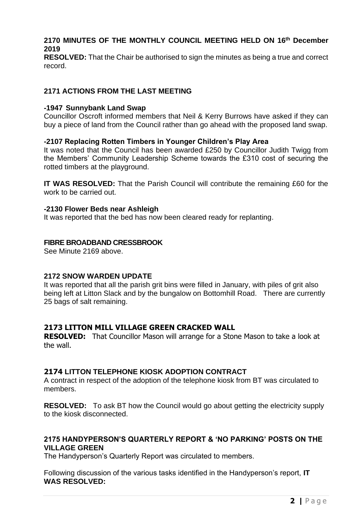# **2170 MINUTES OF THE MONTHLY COUNCIL MEETING HELD ON 16 th December 2019**

**RESOLVED:** That the Chair be authorised to sign the minutes as being a true and correct record.

# **2171 ACTIONS FROM THE LAST MEETING**

## **-1947 Sunnybank Land Swap**

Councillor Oscroft informed members that Neil & Kerry Burrows have asked if they can buy a piece of land from the Council rather than go ahead with the proposed land swap.

# **-2107 Replacing Rotten Timbers in Younger Children's Play Area**

It was noted that the Council has been awarded £250 by Councillor Judith Twigg from the Members' Community Leadership Scheme towards the £310 cost of securing the rotted timbers at the playground.

**IT WAS RESOLVED:** That the Parish Council will contribute the remaining £60 for the work to be carried out.

## **-2130 Flower Beds near Ashleigh**

It was reported that the bed has now been cleared ready for replanting.

# **FIBRE BROADBAND CRESSBROOK**

See Minute 2169 above.

## **2172 SNOW WARDEN UPDATE**

It was reported that all the parish grit bins were filled in January, with piles of grit also being left at Litton Slack and by the bungalow on Bottomhill Road. There are currently 25 bags of salt remaining.

# **2173 LITTON MILL VILLAGE GREEN CRACKED WALL**

**RESOLVED:** That Councillor Mason will arrange for a Stone Mason to take a look at the wall.

## **2174 LITTON TELEPHONE KIOSK ADOPTION CONTRACT**

A contract in respect of the adoption of the telephone kiosk from BT was circulated to members.

**RESOLVED:** To ask BT how the Council would go about getting the electricity supply to the kiosk disconnected.

## **2175 HANDYPERSON'S QUARTERLY REPORT & 'NO PARKING' POSTS ON THE VILLAGE GREEN**

The Handyperson's Quarterly Report was circulated to members.

Following discussion of the various tasks identified in the Handyperson's report, **IT WAS RESOLVED:**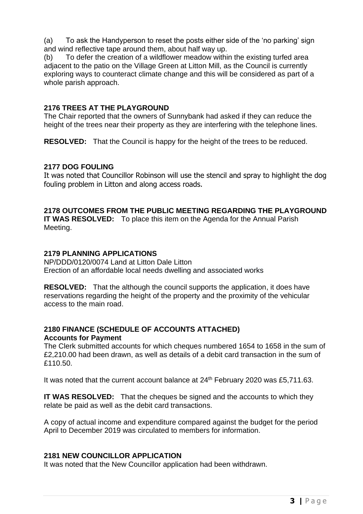(a) To ask the Handyperson to reset the posts either side of the 'no parking' sign and wind reflective tape around them, about half way up.

(b) To defer the creation of a wildflower meadow within the existing turfed area adjacent to the patio on the Village Green at Litton Mill, as the Council is currently exploring ways to counteract climate change and this will be considered as part of a whole parish approach.

# **2176 TREES AT THE PLAYGROUND**

The Chair reported that the owners of Sunnybank had asked if they can reduce the height of the trees near their property as they are interfering with the telephone lines.

**RESOLVED:** That the Council is happy for the height of the trees to be reduced.

# **2177 DOG FOULING**

It was noted that Councillor Robinson will use the stencil and spray to highlight the dog fouling problem in Litton and along access roads.

# **2178 OUTCOMES FROM THE PUBLIC MEETING REGARDING THE PLAYGROUND**

**IT WAS RESOLVED:** To place this item on the Agenda for the Annual Parish Meeting.

# **2179 PLANNING APPLICATIONS**

NP/DDD/0120/0074 Land at Litton Dale Litton Erection of an affordable local needs dwelling and associated works

**RESOLVED:** That the although the council supports the application, it does have reservations regarding the height of the property and the proximity of the vehicular access to the main road.

# **2180 FINANCE (SCHEDULE OF ACCOUNTS ATTACHED) Accounts for Payment**

The Clerk submitted accounts for which cheques numbered 1654 to 1658 in the sum of £2,210.00 had been drawn, as well as details of a debit card transaction in the sum of £110.50.

It was noted that the current account balance at 24<sup>th</sup> February 2020 was £5,711.63.

**IT WAS RESOLVED:** That the cheques be signed and the accounts to which they relate be paid as well as the debit card transactions.

A copy of actual income and expenditure compared against the budget for the period April to December 2019 was circulated to members for information.

## **2181 NEW COUNCILLOR APPLICATION**

It was noted that the New Councillor application had been withdrawn.